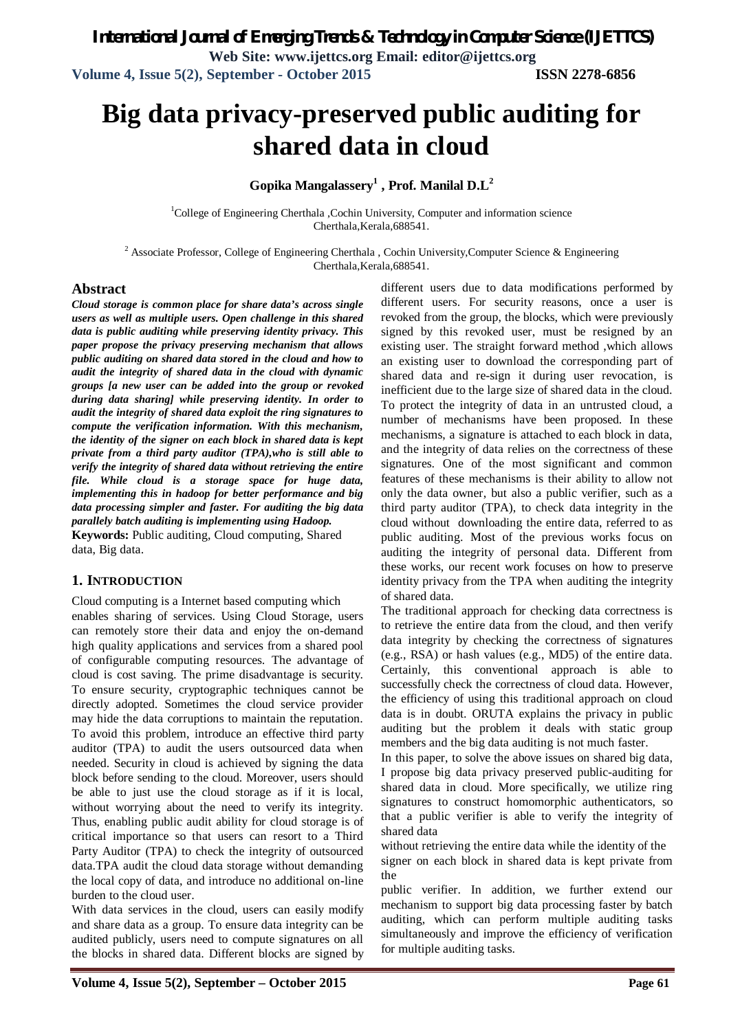*International Journal of Emerging Trends & Technology in Computer Science (IJETTCS)*

**Web Site: www.ijettcs.org Email: editor@ijettcs.org Volume 4, Issue 5(2), September - October 2015 ISSN 2278-6856**

# **Big data privacy-preserved public auditing for shared data in cloud**

**Gopika Mangalassery<sup>1</sup> , Prof. Manilal D.L<sup>2</sup>**

<sup>1</sup>College of Engineering Cherthala ,Cochin University, Computer and information science Cherthala,Kerala,688541.

<sup>2</sup> Associate Professor, College of Engineering Cherthala, Cochin University, Computer Science & Engineering Cherthala,Kerala,688541.

## **Abstract**

*Cloud storage is common place for share data's across single users as well as multiple users. Open challenge in this shared data is public auditing while preserving identity privacy. This paper propose the privacy preserving mechanism that allows public auditing on shared data stored in the cloud and how to audit the integrity of shared data in the cloud with dynamic groups [a new user can be added into the group or revoked during data sharing] while preserving identity. In order to audit the integrity of shared data exploit the ring signatures to compute the verification information. With this mechanism, the identity of the signer on each block in shared data is kept private from a third party auditor (TPA),who is still able to verify the integrity of shared data without retrieving the entire file. While cloud is a storage space for huge data, implementing this in hadoop for better performance and big data processing simpler and faster. For auditing the big data parallely batch auditing is implementing using Hadoop.* **Keywords:** Public auditing, Cloud computing, Shared data, Big data.

## **1. INTRODUCTION**

Cloud computing is a Internet based computing which enables sharing of services. Using Cloud Storage, users can remotely store their data and enjoy the on-demand high quality applications and services from a shared pool of configurable computing resources. The advantage of cloud is cost saving. The prime disadvantage is security. To ensure security, cryptographic techniques cannot be directly adopted. Sometimes the cloud service provider may hide the data corruptions to maintain the reputation. To avoid this problem, introduce an effective third party auditor (TPA) to audit the users outsourced data when needed. Security in cloud is achieved by signing the data block before sending to the cloud. Moreover, users should be able to just use the cloud storage as if it is local, without worrying about the need to verify its integrity. Thus, enabling public audit ability for cloud storage is of critical importance so that users can resort to a Third Party Auditor (TPA) to check the integrity of outsourced data.TPA audit the cloud data storage without demanding the local copy of data, and introduce no additional on-line burden to the cloud user.

With data services in the cloud, users can easily modify and share data as a group. To ensure data integrity can be audited publicly, users need to compute signatures on all the blocks in shared data. Different blocks are signed by

different users due to data modifications performed by different users. For security reasons, once a user is revoked from the group, the blocks, which were previously signed by this revoked user, must be resigned by an existing user. The straight forward method ,which allows an existing user to download the corresponding part of shared data and re-sign it during user revocation, is inefficient due to the large size of shared data in the cloud. To protect the integrity of data in an untrusted cloud, a number of mechanisms have been proposed. In these mechanisms, a signature is attached to each block in data, and the integrity of data relies on the correctness of these signatures. One of the most significant and common features of these mechanisms is their ability to allow not only the data owner, but also a public verifier, such as a third party auditor (TPA), to check data integrity in the cloud without downloading the entire data, referred to as public auditing. Most of the previous works focus on auditing the integrity of personal data. Different from these works, our recent work focuses on how to preserve identity privacy from the TPA when auditing the integrity of shared data.

The traditional approach for checking data correctness is to retrieve the entire data from the cloud, and then verify data integrity by checking the correctness of signatures (e.g., RSA) or hash values (e.g., MD5) of the entire data. Certainly, this conventional approach is able to successfully check the correctness of cloud data. However, the efficiency of using this traditional approach on cloud data is in doubt. ORUTA explains the privacy in public auditing but the problem it deals with static group members and the big data auditing is not much faster.

In this paper, to solve the above issues on shared big data, I propose big data privacy preserved public-auditing for shared data in cloud. More specifically, we utilize ring signatures to construct homomorphic authenticators, so that a public verifier is able to verify the integrity of shared data

without retrieving the entire data while the identity of the signer on each block in shared data is kept private from the

public verifier. In addition, we further extend our mechanism to support big data processing faster by batch auditing, which can perform multiple auditing tasks simultaneously and improve the efficiency of verification for multiple auditing tasks.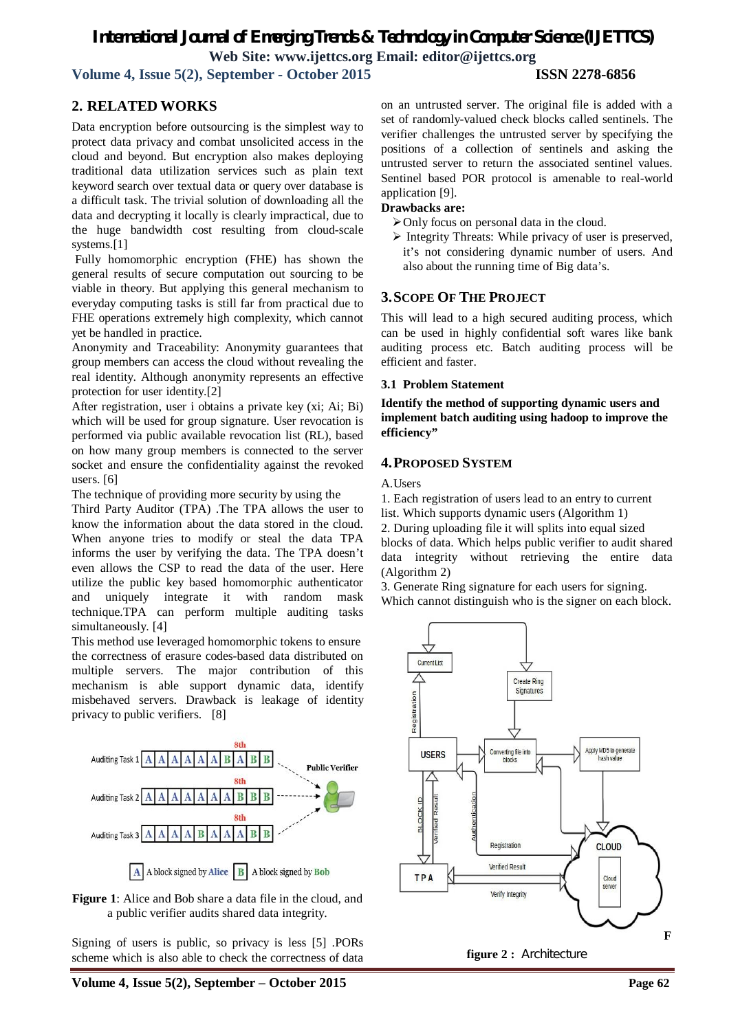## *International Journal of Emerging Trends & Technology in Computer Science (IJETTCS)* **Web Site: www.ijettcs.org Email: editor@ijettcs.org**

**Volume 4, Issue 5(2), September - October 2015 ISSN 2278-6856**

## **2. RELATED WORKS**

Data encryption before outsourcing is the simplest way to protect data privacy and combat unsolicited access in the cloud and beyond. But encryption also makes deploying traditional data utilization services such as plain text keyword search over textual data or query over database is a difficult task. The trivial solution of downloading all the data and decrypting it locally is clearly impractical, due to the huge bandwidth cost resulting from cloud-scale systems.[1]

Fully homomorphic encryption (FHE) has shown the general results of secure computation out sourcing to be viable in theory. But applying this general mechanism to everyday computing tasks is still far from practical due to FHE operations extremely high complexity, which cannot yet be handled in practice.

Anonymity and Traceability: Anonymity guarantees that group members can access the cloud without revealing the real identity. Although anonymity represents an effective protection for user identity.[2]

After registration, user i obtains a private key (xi; Ai; Bi) which will be used for group signature. User revocation is performed via public available revocation list (RL), based on how many group members is connected to the server socket and ensure the confidentiality against the revoked users. [6]

The technique of providing more security by using the

Third Party Auditor (TPA) .The TPA allows the user to know the information about the data stored in the cloud. When anyone tries to modify or steal the data TPA informs the user by verifying the data. The TPA doesn't even allows the CSP to read the data of the user. Here utilize the public key based homomorphic authenticator and uniquely integrate it with random mask technique.TPA can perform multiple auditing tasks simultaneously. [4]

This method use leveraged homomorphic tokens to ensure the correctness of erasure codes-based data distributed on multiple servers. The major contribution of this mechanism is able support dynamic data, identify misbehaved servers. Drawback is leakage of identity privacy to public verifiers. [8]



**Figure 1**: Alice and Bob share a data file in the cloud, and a public verifier audits shared data integrity.

Signing of users is public, so privacy is less [5] .PORs scheme which is also able to check the correctness of data

on an untrusted server. The original file is added with a set of randomly-valued check blocks called sentinels. The verifier challenges the untrusted server by specifying the positions of a collection of sentinels and asking the untrusted server to return the associated sentinel values. Sentinel based POR protocol is amenable to real-world application [9].

## **Drawbacks are:**

- $\triangleright$  Only focus on personal data in the cloud.
- $\triangleright$  Integrity Threats: While privacy of user is preserved, it's not considering dynamic number of users. And also about the running time of Big data's.

## **3.SCOPE OF THE PROJECT**

This will lead to a high secured auditing process, which can be used in highly confidential soft wares like bank auditing process etc. Batch auditing process will be efficient and faster.

## **3.1 Problem Statement**

**Identify the method of supporting dynamic users and implement batch auditing using hadoop to improve the efficiency"**

## **4.PROPOSED SYSTEM**

A. Users

1. Each registration of users lead to an entry to current list. Which supports dynamic users (Algorithm 1) 2. During uploading file it will splits into equal sized blocks of data. Which helps public verifier to audit shared data integrity without retrieving the entire data (Algorithm 2)

3. Generate Ring signature for each users for signing. Which cannot distinguish who is the signer on each block.



**figure 2 :** Architecture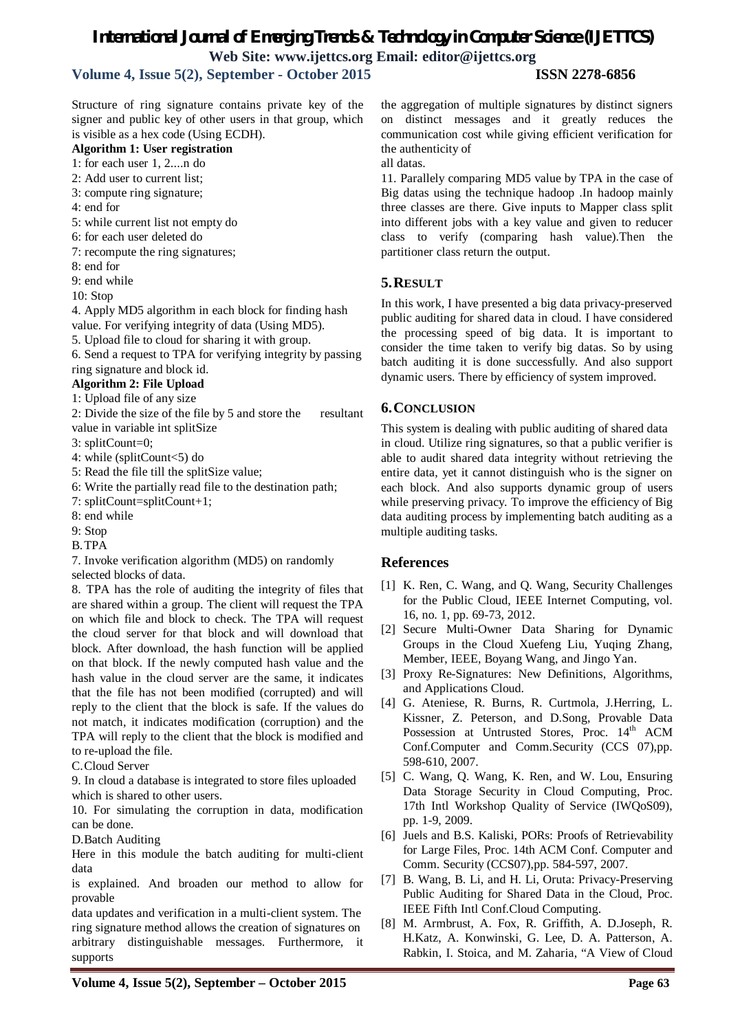## *International Journal of Emerging Trends & Technology in Computer Science (IJETTCS)*

**Web Site: www.ijettcs.org Email: editor@ijettcs.org** 

**Volume 4, Issue 5(2), September - October 2015 ISSN 2278-6856**

Structure of ring signature contains private key of the signer and public key of other users in that group, which is visible as a hex code (Using ECDH).

## **Algorithm 1: User registration**

1: for each user 1, 2....n do

- 2: Add user to current list;
- 3: compute ring signature;
- 4: end for
- 5: while current list not empty do
- 6: for each user deleted do
- 7: recompute the ring signatures;
- 8: end for

9: end while

10: Stop

4. Apply MD5 algorithm in each block for finding hash value. For verifying integrity of data (Using MD5).

5. Upload file to cloud for sharing it with group.

6. Send a request to TPA for verifying integrity by passing ring signature and block id.

## **Algorithm 2: File Upload**

1: Upload file of any size

2: Divide the size of the file by 5 and store the resultant value in variable int splitSize

3: splitCount=0;

4: while (splitCount<5) do

5: Read the file till the splitSize value;

6: Write the partially read file to the destination path;

7: splitCount=splitCount+1;

8: end while

9: Stop

B.TPA

7. Invoke verification algorithm (MD5) on randomly

selected blocks of data.

8. TPA has the role of auditing the integrity of files that are shared within a group. The client will request the TPA on which file and block to check. The TPA will request the cloud server for that block and will download that block. After download, the hash function will be applied on that block. If the newly computed hash value and the hash value in the cloud server are the same, it indicates that the file has not been modified (corrupted) and will reply to the client that the block is safe. If the values do not match, it indicates modification (corruption) and the TPA will reply to the client that the block is modified and to re-upload the file.

C.Cloud Server

9. In cloud a database is integrated to store files uploaded which is shared to other users.

10. For simulating the corruption in data, modification can be done.

D.Batch Auditing

Here in this module the batch auditing for multi-client data

is explained. And broaden our method to allow for provable

data updates and verification in a multi-client system. The ring signature method allows the creation of signatures on arbitrary distinguishable messages. Furthermore, it supports

the aggregation of multiple signatures by distinct signers on distinct messages and it greatly reduces the communication cost while giving efficient verification for the authenticity of

all datas.

11. Parallely comparing MD5 value by TPA in the case of Big datas using the technique hadoop .In hadoop mainly three classes are there. Give inputs to Mapper class split into different jobs with a key value and given to reducer class to verify (comparing hash value).Then the partitioner class return the output.

## **5.RESULT**

In this work, I have presented a big data privacy-preserved public auditing for shared data in cloud. I have considered the processing speed of big data. It is important to consider the time taken to verify big datas. So by using batch auditing it is done successfully. And also support dynamic users. There by efficiency of system improved.

## **6.CONCLUSION**

This system is dealing with public auditing of shared data in cloud. Utilize ring signatures, so that a public verifier is able to audit shared data integrity without retrieving the entire data, yet it cannot distinguish who is the signer on each block. And also supports dynamic group of users while preserving privacy. To improve the efficiency of Big data auditing process by implementing batch auditing as a multiple auditing tasks.

## **References**

- [1] K. Ren, C. Wang, and Q. Wang, Security Challenges for the Public Cloud, IEEE Internet Computing, vol. 16, no. 1, pp. 69-73, 2012.
- [2] Secure Multi-Owner Data Sharing for Dynamic Groups in the Cloud Xuefeng Liu, Yuqing Zhang, Member, IEEE, Boyang Wang, and Jingo Yan.
- [3] Proxy Re-Signatures: New Definitions, Algorithms, and Applications Cloud.
- [4] G. Ateniese, R. Burns, R. Curtmola, J.Herring, L. Kissner, Z. Peterson, and D.Song, Provable Data Possession at Untrusted Stores, Proc. 14<sup>th</sup> ACM Conf.Computer and Comm.Security (CCS 07),pp. 598-610, 2007.
- [5] C. Wang, Q. Wang, K. Ren, and W. Lou, Ensuring Data Storage Security in Cloud Computing, Proc. 17th Intl Workshop Quality of Service (IWQoS09), pp. 1-9, 2009.
- [6] Juels and B.S. Kaliski, PORs: Proofs of Retrievability for Large Files, Proc. 14th ACM Conf. Computer and Comm. Security (CCS07),pp. 584-597, 2007.
- [7] B. Wang, B. Li, and H. Li, Oruta: Privacy-Preserving Public Auditing for Shared Data in the Cloud, Proc. IEEE Fifth Intl Conf.Cloud Computing.
- [8] M. Armbrust, A. Fox, R. Griffith, A. D.Joseph, R. H.Katz, A. Konwinski, G. Lee, D. A. Patterson, A. Rabkin, I. Stoica, and M. Zaharia, "A View of Cloud